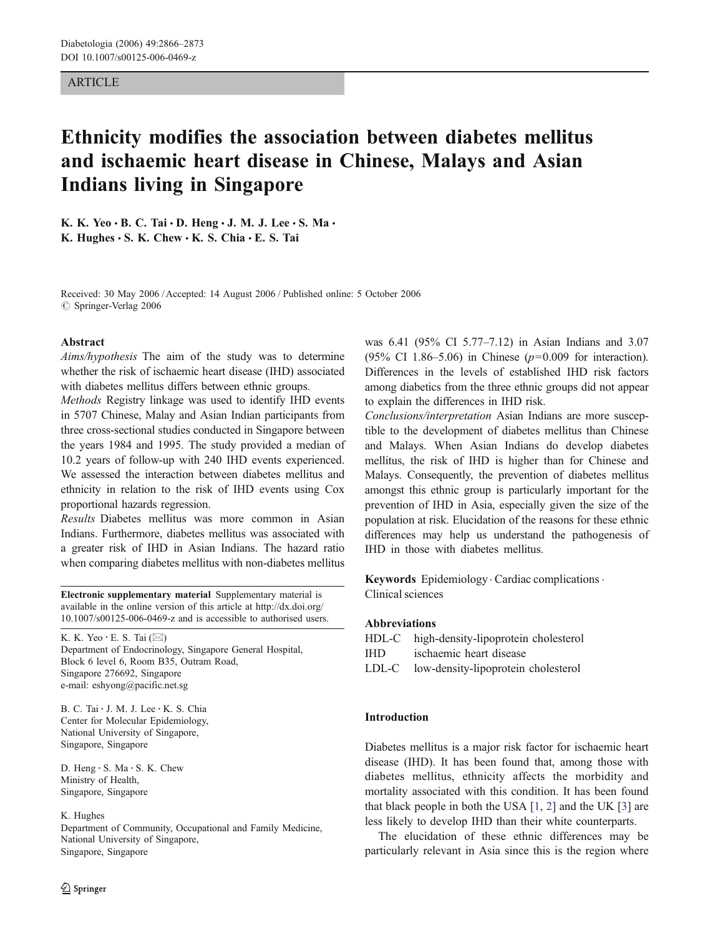# ARTICLE

# Ethnicity modifies the association between diabetes mellitus and ischaemic heart disease in Chinese, Malays and Asian Indians living in Singapore

K. K. Yeo  $\cdot$  B. C. Tai  $\cdot$  D. Heng  $\cdot$  J. M. J. Lee  $\cdot$  S. Ma  $\cdot$ K. Hughes · S. K. Chew · K. S. Chia · E. S. Tai

Received: 30 May 2006 /Accepted: 14 August 2006 / Published online: 5 October 2006  $\oslash$  Springer-Verlag 2006

# Abstract

Aims/hypothesis The aim of the study was to determine whether the risk of ischaemic heart disease (IHD) associated with diabetes mellitus differs between ethnic groups.

Methods Registry linkage was used to identify IHD events in 5707 Chinese, Malay and Asian Indian participants from three cross-sectional studies conducted in Singapore between the years 1984 and 1995. The study provided a median of 10.2 years of follow-up with 240 IHD events experienced. We assessed the interaction between diabetes mellitus and ethnicity in relation to the risk of IHD events using Cox proportional hazards regression.

Results Diabetes mellitus was more common in Asian Indians. Furthermore, diabetes mellitus was associated with a greater risk of IHD in Asian Indians. The hazard ratio when comparing diabetes mellitus with non-diabetes mellitus

Electronic supplementary material Supplementary material is available in the online version of this article at [http://dx.doi.org/](http://dx.doi.org/10.1007/s00125-006-0469-z) [10.1007/s00125-006-0469-z](http://dx.doi.org/10.1007/s00125-006-0469-z) and is accessible to authorised users.

K. K. Yeo : E. S. Tai (*\**) Department of Endocrinology, Singapore General Hospital, Block 6 level 6, Room B35, Outram Road, Singapore 276692, Singapore e-mail: eshyong@pacific.net.sg

B. C. Tai · J. M. J. Lee · K. S. Chia Center for Molecular Epidemiology, National University of Singapore, Singapore, Singapore

D. Heng : S. Ma : S. K. Chew Ministry of Health, Singapore, Singapore

# K. Hughes

Department of Community, Occupational and Family Medicine, National University of Singapore, Singapore, Singapore

was 6.41 (95% CI 5.77–7.12) in Asian Indians and 3.07 (95% CI 1.86–5.06) in Chinese  $(p=0.009)$  for interaction). Differences in the levels of established IHD risk factors among diabetics from the three ethnic groups did not appear to explain the differences in IHD risk.

Conclusions/interpretation Asian Indians are more susceptible to the development of diabetes mellitus than Chinese and Malays. When Asian Indians do develop diabetes mellitus, the risk of IHD is higher than for Chinese and Malays. Consequently, the prevention of diabetes mellitus amongst this ethnic group is particularly important for the prevention of IHD in Asia, especially given the size of the population at risk. Elucidation of the reasons for these ethnic differences may help us understand the pathogenesis of IHD in those with diabetes mellitus.

Keywords Epidemiology. Cardiac complications. Clinical sciences

# Abbreviations

HDL-C high-density-lipoprotein cholesterol

- IHD ischaemic heart disease
- LDL-C low-density-lipoprotein cholesterol

#### Introduction

Diabetes mellitus is a major risk factor for ischaemic heart disease (IHD). It has been found that, among those with diabetes mellitus, ethnicity affects the morbidity and mortality associated with this condition. It has been found that black people in both the USA [\[1](#page-6-0), [2](#page-6-0)] and the UK [\[3](#page-6-0)] are less likely to develop IHD than their white counterparts.

The elucidation of these ethnic differences may be particularly relevant in Asia since this is the region where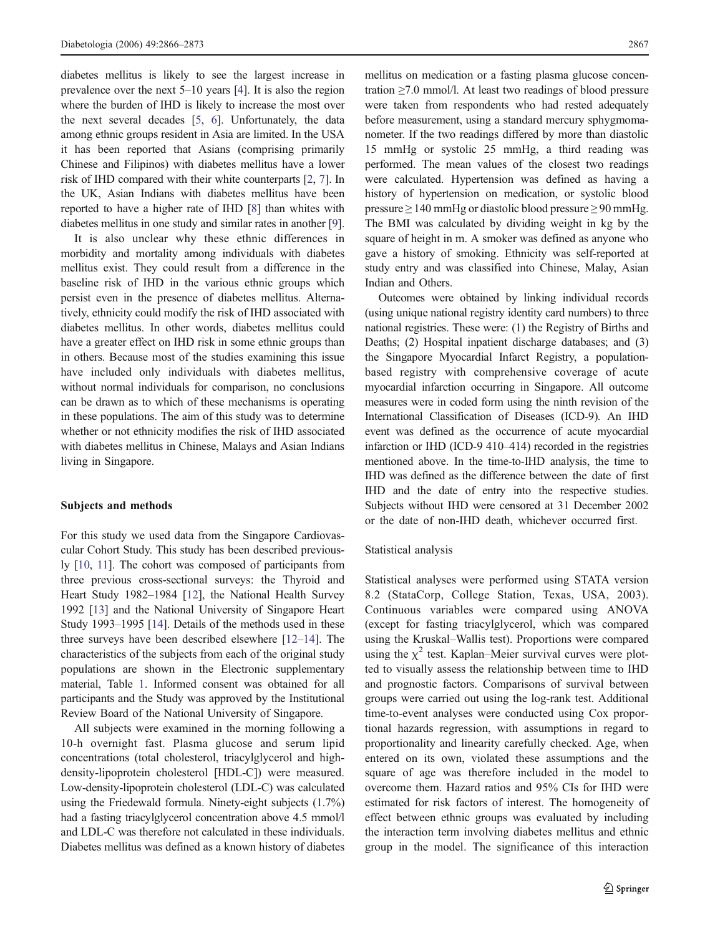diabetes mellitus is likely to see the largest increase in prevalence over the next 5–10 years [\[4](#page-6-0)]. It is also the region where the burden of IHD is likely to increase the most over the next several decades [\[5,](#page-6-0) [6](#page-6-0)]. Unfortunately, the data among ethnic groups resident in Asia are limited. In the USA it has been reported that Asians (comprising primarily Chinese and Filipinos) with diabetes mellitus have a lower risk of IHD compared with their white counterparts [[2,](#page-6-0) [7\]](#page-6-0). In the UK, Asian Indians with diabetes mellitus have been reported to have a higher rate of IHD [[8\]](#page-6-0) than whites with diabetes mellitus in one study and similar rates in another [[9\]](#page-6-0).

It is also unclear why these ethnic differences in morbidity and mortality among individuals with diabetes mellitus exist. They could result from a difference in the baseline risk of IHD in the various ethnic groups which persist even in the presence of diabetes mellitus. Alternatively, ethnicity could modify the risk of IHD associated with diabetes mellitus. In other words, diabetes mellitus could have a greater effect on IHD risk in some ethnic groups than in others. Because most of the studies examining this issue have included only individuals with diabetes mellitus, without normal individuals for comparison, no conclusions can be drawn as to which of these mechanisms is operating in these populations. The aim of this study was to determine whether or not ethnicity modifies the risk of IHD associated with diabetes mellitus in Chinese, Malays and Asian Indians living in Singapore.

#### Subjects and methods

For this study we used data from the Singapore Cardiovascular Cohort Study. This study has been described previously [\[10](#page-6-0), [11\]](#page-6-0). The cohort was composed of participants from three previous cross-sectional surveys: the Thyroid and Heart Study 1982–1984 [[12](#page-6-0)], the National Health Survey 1992 [\[13\]](#page-6-0) and the National University of Singapore Heart Study 1993–1995 [\[14\]](#page-6-0). Details of the methods used in these three surveys have been described elsewhere [[12](#page-6-0)–[14](#page-6-0)]. The characteristics of the subjects from each of the original study populations are shown in the Electronic supplementary material, Table [1](#page-2-0). Informed consent was obtained for all participants and the Study was approved by the Institutional Review Board of the National University of Singapore.

All subjects were examined in the morning following a 10-h overnight fast. Plasma glucose and serum lipid concentrations (total cholesterol, triacylglycerol and highdensity-lipoprotein cholesterol [HDL-C]) were measured. Low-density-lipoprotein cholesterol (LDL-C) was calculated using the Friedewald formula. Ninety-eight subjects (1.7%) had a fasting triacylglycerol concentration above 4.5 mmol/l and LDL-C was therefore not calculated in these individuals. Diabetes mellitus was defined as a known history of diabetes mellitus on medication or a fasting plasma glucose concentration  $\geq$ 7.0 mmol/l. At least two readings of blood pressure were taken from respondents who had rested adequately before measurement, using a standard mercury sphygmomanometer. If the two readings differed by more than diastolic 15 mmHg or systolic 25 mmHg, a third reading was performed. The mean values of the closest two readings were calculated. Hypertension was defined as having a history of hypertension on medication, or systolic blood pressure  $\geq$  140 mmHg or diastolic blood pressure  $\geq$  90 mmHg. The BMI was calculated by dividing weight in kg by the square of height in m. A smoker was defined as anyone who gave a history of smoking. Ethnicity was self-reported at study entry and was classified into Chinese, Malay, Asian Indian and Others.

Outcomes were obtained by linking individual records (using unique national registry identity card numbers) to three national registries. These were: (1) the Registry of Births and Deaths; (2) Hospital inpatient discharge databases; and (3) the Singapore Myocardial Infarct Registry, a populationbased registry with comprehensive coverage of acute myocardial infarction occurring in Singapore. All outcome measures were in coded form using the ninth revision of the International Classification of Diseases (ICD-9). An IHD event was defined as the occurrence of acute myocardial infarction or IHD (ICD-9 410–414) recorded in the registries mentioned above. In the time-to-IHD analysis, the time to IHD was defined as the difference between the date of first IHD and the date of entry into the respective studies. Subjects without IHD were censored at 31 December 2002 or the date of non-IHD death, whichever occurred first.

# Statistical analysis

Statistical analyses were performed using STATA version 8.2 (StataCorp, College Station, Texas, USA, 2003). Continuous variables were compared using ANOVA (except for fasting triacylglycerol, which was compared using the Kruskal–Wallis test). Proportions were compared using the  $\chi^2$  test. Kaplan–Meier survival curves were plotted to visually assess the relationship between time to IHD and prognostic factors. Comparisons of survival between groups were carried out using the log-rank test. Additional time-to-event analyses were conducted using Cox proportional hazards regression, with assumptions in regard to proportionality and linearity carefully checked. Age, when entered on its own, violated these assumptions and the square of age was therefore included in the model to overcome them. Hazard ratios and 95% CIs for IHD were estimated for risk factors of interest. The homogeneity of effect between ethnic groups was evaluated by including the interaction term involving diabetes mellitus and ethnic group in the model. The significance of this interaction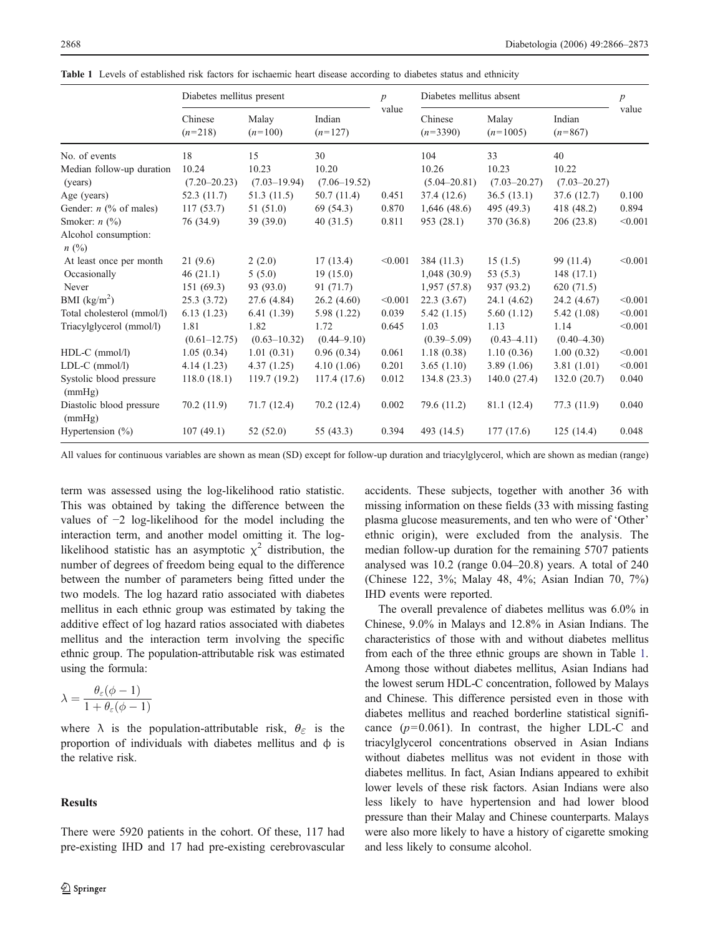|                                      | Diabetes mellitus present                                         |                           |                           | $\boldsymbol{p}$ | Diabetes mellitus absent  | $\boldsymbol{p}$          |                           |         |  |
|--------------------------------------|-------------------------------------------------------------------|---------------------------|---------------------------|------------------|---------------------------|---------------------------|---------------------------|---------|--|
|                                      | Chinese<br>Malay<br>Indian<br>$(n=218)$<br>$(n=100)$<br>$(n=127)$ |                           |                           | value            | Chinese<br>$(n=3390)$     | Malay<br>$(n=1005)$       | Indian<br>$(n=867)$       | value   |  |
| No. of events                        | 18                                                                | 15                        | 30                        |                  | 104                       | 33                        | 40                        |         |  |
| Median follow-up duration<br>(years) | 10.24<br>$(7.20 - 20.23)$                                         | 10.23<br>$(7.03 - 19.94)$ | 10.20<br>$(7.06 - 19.52)$ |                  | 10.26<br>$(5.04 - 20.81)$ | 10.23<br>$(7.03 - 20.27)$ | 10.22<br>$(7.03 - 20.27)$ |         |  |
| Age (years)                          | 52.3 $(11.7)$                                                     | 51.3(11.5)                | 50.7 (11.4)               | 0.451            | 37.4 (12.6)               | 36.5(13.1)                | 37.6 (12.7)               | 0.100   |  |
| Gender: $n$ (% of males)             | 117(53.7)                                                         | 51(51.0)                  | 69(54.3)                  | 0.870            | 1,646(48.6)               | 495 (49.3)                | 418 (48.2)                | 0.894   |  |
| Smoker: $n$ (%)                      | 76 (34.9)                                                         | 39(39.0)                  | 40(31.5)                  | 0.811            | 953(28.1)                 | 370 (36.8)                | 206(23.8)                 | < 0.001 |  |
| Alcohol consumption:<br>n(%)         |                                                                   |                           |                           |                  |                           |                           |                           |         |  |
| At least once per month              | 21(9.6)                                                           | 2(2.0)                    | 17(13.4)                  | < 0.001          | 384 (11.3)                | 15(1.5)                   | 99 (11.4)                 | < 0.001 |  |
| Occasionally                         | 46(21.1)                                                          | 5(5.0)                    | 19(15.0)                  |                  | 1,048(30.9)               | 53 $(5.3)$                | 148(17.1)                 |         |  |
| Never                                | 151(69.3)                                                         | 93 (93.0)                 | 91(71.7)                  |                  | 1,957(57.8)               | 937 (93.2)                | 620(71.5)                 |         |  |
| BMI $(kg/m^2)$                       | 25.3(3.72)                                                        | 27.6 (4.84)               | 26.2(4.60)                | < 0.001          | 22.3(3.67)                | 24.1 (4.62)               | 24.2 (4.67)               | < 0.001 |  |
| Total cholesterol (mmol/l)           | 6.13(1.23)                                                        | 6.41(1.39)                | 5.98 (1.22)               | 0.039            | 5.42(1.15)                | 5.60(1.12)                | 5.42(1.08)                | < 0.001 |  |
| Triacylglycerol (mmol/l)             | 1.81<br>$(0.61 - 12.75)$                                          | 1.82<br>$(0.63 - 10.32)$  | 1.72<br>$(0.44 - 9.10)$   | 0.645            | 1.03<br>$(0.39 - 5.09)$   | 1.13<br>$(0.43 - 4.11)$   | 1.14<br>$(0.40 - 4.30)$   | < 0.001 |  |
| $HDL-C$ (mmol/l)                     | 1.05(0.34)                                                        | 1.01(0.31)                | 0.96(0.34)                | 0.061            | 1.18(0.38)                | 1.10(0.36)                | 1.00(0.32)                | < 0.001 |  |
| $LDL-C$ (mmol/l)                     | 4.14(1.23)                                                        | 4.37(1.25)                | 4.10(1.06)                | 0.201            | 3.65(1.10)                | 3.89(1.06)                | 3.81(1.01)                | < 0.001 |  |
| Systolic blood pressure<br>(mmHg)    | 118.0(18.1)                                                       | 119.7(19.2)               | 117.4 (17.6)              | 0.012            | 134.8(23.3)               | 140.0(27.4)               | 132.0(20.7)               | 0.040   |  |
| Diastolic blood pressure<br>(mmHg)   | 70.2 (11.9)                                                       | 71.7(12.4)                | 70.2(12.4)                | 0.002            | 79.6 (11.2)               | 81.1 (12.4)               | 77.3 (11.9)               | 0.040   |  |
| Hypertension $(\% )$                 | 107(49.1)                                                         | 52(52.0)                  | 55 (43.3)                 | 0.394            | 493 (14.5)                | 177(17.6)                 | 125(14.4)                 | 0.048   |  |

<span id="page-2-0"></span>Table 1 Levels of established risk factors for ischaemic heart disease according to diabetes status and ethnicity

All values for continuous variables are shown as mean (SD) except for follow-up duration and triacylglycerol, which are shown as median (range)

term was assessed using the log-likelihood ratio statistic. This was obtained by taking the difference between the values of −2 log-likelihood for the model including the interaction term, and another model omitting it. The loglikelihood statistic has an asymptotic  $\chi^2$  distribution, the number of degrees of freedom being equal to the difference between the number of parameters being fitted under the two models. The log hazard ratio associated with diabetes mellitus in each ethnic group was estimated by taking the additive effect of log hazard ratios associated with diabetes mellitus and the interaction term involving the specific ethnic group. The population-attributable risk was estimated using the formula:

$$
\lambda = \frac{\theta_{\varepsilon}(\phi - 1)}{1 + \theta_{\varepsilon}(\phi - 1)}
$$

where  $\lambda$  is the population-attributable risk,  $\theta_{\epsilon}$  is the proportion of individuals with diabetes mellitus and φ is the relative risk.

# Results

There were 5920 patients in the cohort. Of these, 117 had pre-existing IHD and 17 had pre-existing cerebrovascular accidents. These subjects, together with another 36 with missing information on these fields (33 with missing fasting plasma glucose measurements, and ten who were of 'Other' ethnic origin), were excluded from the analysis. The median follow-up duration for the remaining 5707 patients analysed was 10.2 (range 0.04–20.8) years. A total of 240 (Chinese 122, 3%; Malay 48, 4%; Asian Indian 70, 7%) IHD events were reported.

The overall prevalence of diabetes mellitus was 6.0% in Chinese, 9.0% in Malays and 12.8% in Asian Indians. The characteristics of those with and without diabetes mellitus from each of the three ethnic groups are shown in Table 1. Among those without diabetes mellitus, Asian Indians had the lowest serum HDL-C concentration, followed by Malays and Chinese. This difference persisted even in those with diabetes mellitus and reached borderline statistical significance  $(p=0.061)$ . In contrast, the higher LDL-C and triacylglycerol concentrations observed in Asian Indians without diabetes mellitus was not evident in those with diabetes mellitus. In fact, Asian Indians appeared to exhibit lower levels of these risk factors. Asian Indians were also less likely to have hypertension and had lower blood pressure than their Malay and Chinese counterparts. Malays were also more likely to have a history of cigarette smoking and less likely to consume alcohol.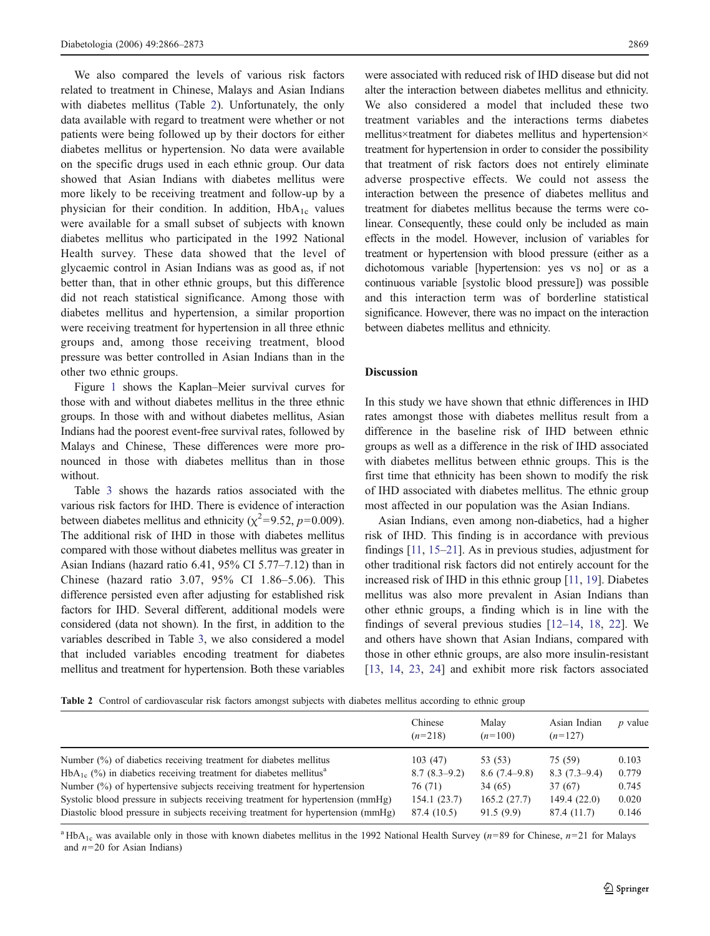We also compared the levels of various risk factors related to treatment in Chinese, Malays and Asian Indians with diabetes mellitus (Table 2). Unfortunately, the only data available with regard to treatment were whether or not patients were being followed up by their doctors for either diabetes mellitus or hypertension. No data were available on the specific drugs used in each ethnic group. Our data showed that Asian Indians with diabetes mellitus were more likely to be receiving treatment and follow-up by a physician for their condition. In addition,  $HbA_{1c}$  values were available for a small subset of subjects with known diabetes mellitus who participated in the 1992 National Health survey. These data showed that the level of glycaemic control in Asian Indians was as good as, if not better than, that in other ethnic groups, but this difference did not reach statistical significance. Among those with diabetes mellitus and hypertension, a similar proportion were receiving treatment for hypertension in all three ethnic groups and, among those receiving treatment, blood pressure was better controlled in Asian Indians than in the other two ethnic groups.

Figure [1](#page-4-0) shows the Kaplan–Meier survival curves for those with and without diabetes mellitus in the three ethnic groups. In those with and without diabetes mellitus, Asian Indians had the poorest event-free survival rates, followed by Malays and Chinese, These differences were more pronounced in those with diabetes mellitus than in those without.

Table [3](#page-5-0) shows the hazards ratios associated with the various risk factors for IHD. There is evidence of interaction between diabetes mellitus and ethnicity ( $\chi^2$ =9.52, p=0.009). The additional risk of IHD in those with diabetes mellitus compared with those without diabetes mellitus was greater in Asian Indians (hazard ratio 6.41, 95% CI 5.77–7.12) than in Chinese (hazard ratio 3.07, 95% CI 1.86–5.06). This difference persisted even after adjusting for established risk factors for IHD. Several different, additional models were considered (data not shown). In the first, in addition to the variables described in Table [3](#page-5-0), we also considered a model that included variables encoding treatment for diabetes mellitus and treatment for hypertension. Both these variables

were associated with reduced risk of IHD disease but did not alter the interaction between diabetes mellitus and ethnicity. We also considered a model that included these two treatment variables and the interactions terms diabetes mellitus×treatment for diabetes mellitus and hypertension× treatment for hypertension in order to consider the possibility that treatment of risk factors does not entirely eliminate adverse prospective effects. We could not assess the interaction between the presence of diabetes mellitus and treatment for diabetes mellitus because the terms were colinear. Consequently, these could only be included as main effects in the model. However, inclusion of variables for treatment or hypertension with blood pressure (either as a dichotomous variable [hypertension: yes vs no] or as a continuous variable [systolic blood pressure]) was possible and this interaction term was of borderline statistical significance. However, there was no impact on the interaction between diabetes mellitus and ethnicity.

# Discussion

In this study we have shown that ethnic differences in IHD rates amongst those with diabetes mellitus result from a difference in the baseline risk of IHD between ethnic groups as well as a difference in the risk of IHD associated with diabetes mellitus between ethnic groups. This is the first time that ethnicity has been shown to modify the risk of IHD associated with diabetes mellitus. The ethnic group most affected in our population was the Asian Indians.

Asian Indians, even among non-diabetics, had a higher risk of IHD. This finding is in accordance with previous findings [[11](#page-6-0), [15](#page-6-0)–[21](#page-7-0)]. As in previous studies, adjustment for other traditional risk factors did not entirely account for the increased risk of IHD in this ethnic group [[11](#page-6-0), [19](#page-7-0)]. Diabetes mellitus was also more prevalent in Asian Indians than other ethnic groups, a finding which is in line with the findings of several previous studies [\[12](#page-6-0)–[14,](#page-6-0) [18,](#page-7-0) [22](#page-7-0)]. We and others have shown that Asian Indians, compared with those in other ethnic groups, are also more insulin-resistant [\[13](#page-6-0), [14](#page-6-0), [23](#page-7-0), [24](#page-7-0)] and exhibit more risk factors associated

Table 2 Control of cardiovascular risk factors amongst subjects with diabetes mellitus according to ethnic group

|                                                                                                                                                                     | Chinese<br>$(n=218)$       | Malay<br>$(n=100)$       | Asian Indian<br>$(n=127)$   | $p$ value      |
|---------------------------------------------------------------------------------------------------------------------------------------------------------------------|----------------------------|--------------------------|-----------------------------|----------------|
| Number $(\%)$ of diabetics receiving treatment for diabetes mellitus                                                                                                | 103(47)                    | 53 (53)                  | 75 (59)                     | 0.103          |
| $HbA_{1c}$ (%) in diabetics receiving treatment for diabetes mellitus <sup>a</sup>                                                                                  | $8.7(8.3-9.2)$             | 8.6(7.4–9.8)             | $8.3(7.3-9.4)$              | 0.779          |
| Number (%) of hypertensive subjects receiving treatment for hypertension                                                                                            | 76 (71)                    | 34 (65)                  | 37 (67)                     | 0.745          |
| Systolic blood pressure in subjects receiving treatment for hypertension (mmHg)<br>Diastolic blood pressure in subjects receiving treatment for hypertension (mmHg) | 154.1(23.7)<br>87.4 (10.5) | 165.2(27.7)<br>91.5(9.9) | 149.4 (22.0)<br>87.4 (11.7) | 0.020<br>0.146 |

<sup>a</sup> HbA<sub>1c</sub> was available only in those with known diabetes mellitus in the 1992 National Health Survey ( $n=89$  for Chinese,  $n=21$  for Malays and  $n=20$  for Asian Indians)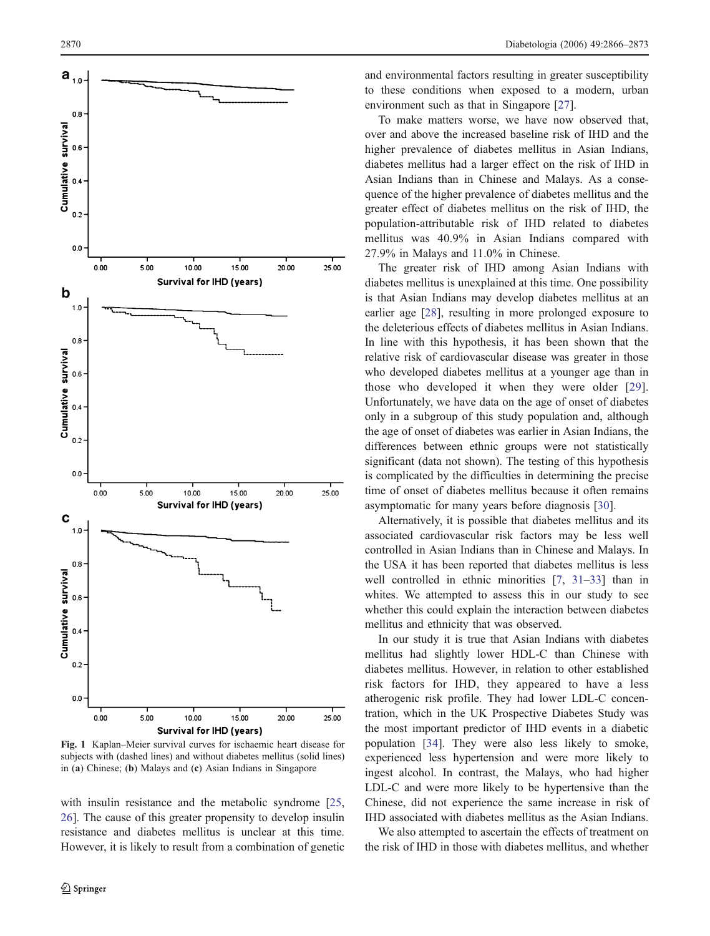<span id="page-4-0"></span>

Fig. 1 Kaplan–Meier survival curves for ischaemic heart disease for subjects with (dashed lines) and without diabetes mellitus (solid lines) in (a) Chinese; (b) Malays and (c) Asian Indians in Singapore

with insulin resistance and the metabolic syndrome [[25,](#page-7-0) [26](#page-7-0)]. The cause of this greater propensity to develop insulin resistance and diabetes mellitus is unclear at this time. However, it is likely to result from a combination of genetic and environmental factors resulting in greater susceptibility to these conditions when exposed to a modern, urban environment such as that in Singapore [\[27](#page-7-0)].

To make matters worse, we have now observed that, over and above the increased baseline risk of IHD and the higher prevalence of diabetes mellitus in Asian Indians. diabetes mellitus had a larger effect on the risk of IHD in Asian Indians than in Chinese and Malays. As a consequence of the higher prevalence of diabetes mellitus and the greater effect of diabetes mellitus on the risk of IHD, the population-attributable risk of IHD related to diabetes mellitus was 40.9% in Asian Indians compared with 27.9% in Malays and 11.0% in Chinese.

The greater risk of IHD among Asian Indians with diabetes mellitus is unexplained at this time. One possibility is that Asian Indians may develop diabetes mellitus at an earlier age [[28\]](#page-7-0), resulting in more prolonged exposure to the deleterious effects of diabetes mellitus in Asian Indians. In line with this hypothesis, it has been shown that the relative risk of cardiovascular disease was greater in those who developed diabetes mellitus at a younger age than in those who developed it when they were older [[29](#page-7-0)]. Unfortunately, we have data on the age of onset of diabetes only in a subgroup of this study population and, although the age of onset of diabetes was earlier in Asian Indians, the differences between ethnic groups were not statistically significant (data not shown). The testing of this hypothesis is complicated by the difficulties in determining the precise time of onset of diabetes mellitus because it often remains asymptomatic for many years before diagnosis [\[30](#page-7-0)].

Alternatively, it is possible that diabetes mellitus and its associated cardiovascular risk factors may be less well controlled in Asian Indians than in Chinese and Malays. In the USA it has been reported that diabetes mellitus is less well controlled in ethnic minorities [[7,](#page-6-0) [31](#page-7-0)–[33\]](#page-7-0) than in whites. We attempted to assess this in our study to see whether this could explain the interaction between diabetes mellitus and ethnicity that was observed.

In our study it is true that Asian Indians with diabetes mellitus had slightly lower HDL-C than Chinese with diabetes mellitus. However, in relation to other established risk factors for IHD, they appeared to have a less atherogenic risk profile. They had lower LDL-C concentration, which in the UK Prospective Diabetes Study was the most important predictor of IHD events in a diabetic population [[34\]](#page-7-0). They were also less likely to smoke, experienced less hypertension and were more likely to ingest alcohol. In contrast, the Malays, who had higher LDL-C and were more likely to be hypertensive than the Chinese, did not experience the same increase in risk of IHD associated with diabetes mellitus as the Asian Indians.

We also attempted to ascertain the effects of treatment on the risk of IHD in those with diabetes mellitus, and whether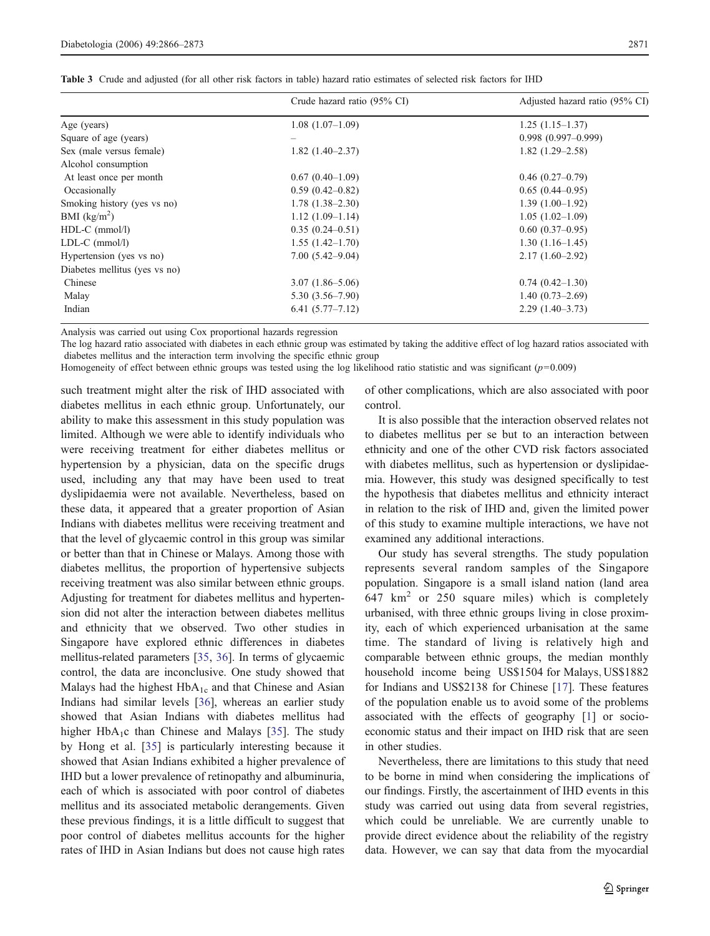<span id="page-5-0"></span>

|  | Table 3 Crude and adjusted (for all other risk factors in table) hazard ratio estimates of selected risk factors for IHD |  |  |  |  |  |  |  |  |  |  |  |  |  |  |  |  |
|--|--------------------------------------------------------------------------------------------------------------------------|--|--|--|--|--|--|--|--|--|--|--|--|--|--|--|--|
|--|--------------------------------------------------------------------------------------------------------------------------|--|--|--|--|--|--|--|--|--|--|--|--|--|--|--|--|

|                               | Crude hazard ratio (95% CI) | Adjusted hazard ratio (95% CI) |
|-------------------------------|-----------------------------|--------------------------------|
| Age (years)                   | $1.08(1.07-1.09)$           | $1.25(1.15-1.37)$              |
| Square of age (years)         |                             | $0.998(0.997-0.999)$           |
| Sex (male versus female)      | $1.82(1.40-2.37)$           | $1.82(1.29-2.58)$              |
| Alcohol consumption           |                             |                                |
| At least once per month       | $0.67(0.40-1.09)$           | $0.46(0.27-0.79)$              |
| Occasionally                  | $0.59(0.42 - 0.82)$         | $0.65(0.44 - 0.95)$            |
| Smoking history (yes vs no)   | $1.78(1.38-2.30)$           | $1.39(1.00-1.92)$              |
| BMI $(kg/m2)$                 | $1.12(1.09-1.14)$           | $1.05(1.02-1.09)$              |
| $HDL-C$ (mmol/l)              | $0.35(0.24 - 0.51)$         | $0.60(0.37-0.95)$              |
| $LDL-C$ (mmol/l)              | $1.55(1.42 - 1.70)$         | $1.30(1.16-1.45)$              |
| Hypertension (yes vs no)      | $7.00(5.42 - 9.04)$         | $2.17(1.60-2.92)$              |
| Diabetes mellitus (yes vs no) |                             |                                |
| Chinese                       | $3.07(1.86 - 5.06)$         | $0.74(0.42 - 1.30)$            |
| Malay                         | $5.30(3.56 - 7.90)$         | $1.40(0.73-2.69)$              |
| Indian                        | $6.41(5.77-7.12)$           | $2.29(1.40-3.73)$              |
|                               |                             |                                |

Analysis was carried out using Cox proportional hazards regression

The log hazard ratio associated with diabetes in each ethnic group was estimated by taking the additive effect of log hazard ratios associated with diabetes mellitus and the interaction term involving the specific ethnic group

Homogeneity of effect between ethnic groups was tested using the log likelihood ratio statistic and was significant  $(p=0.009)$ 

such treatment might alter the risk of IHD associated with diabetes mellitus in each ethnic group. Unfortunately, our ability to make this assessment in this study population was limited. Although we were able to identify individuals who were receiving treatment for either diabetes mellitus or hypertension by a physician, data on the specific drugs used, including any that may have been used to treat dyslipidaemia were not available. Nevertheless, based on these data, it appeared that a greater proportion of Asian Indians with diabetes mellitus were receiving treatment and that the level of glycaemic control in this group was similar or better than that in Chinese or Malays. Among those with diabetes mellitus, the proportion of hypertensive subjects receiving treatment was also similar between ethnic groups. Adjusting for treatment for diabetes mellitus and hypertension did not alter the interaction between diabetes mellitus and ethnicity that we observed. Two other studies in Singapore have explored ethnic differences in diabetes mellitus-related parameters [[35,](#page-7-0) [36](#page-7-0)]. In terms of glycaemic control, the data are inconclusive. One study showed that Malays had the highest  $HbA_{1c}$  and that Chinese and Asian Indians had similar levels [[36\]](#page-7-0), whereas an earlier study showed that Asian Indians with diabetes mellitus had higher  $HbA_1c$  than Chinese and Malays [\[35](#page-7-0)]. The study by Hong et al. [[35\]](#page-7-0) is particularly interesting because it showed that Asian Indians exhibited a higher prevalence of IHD but a lower prevalence of retinopathy and albuminuria, each of which is associated with poor control of diabetes mellitus and its associated metabolic derangements. Given these previous findings, it is a little difficult to suggest that poor control of diabetes mellitus accounts for the higher rates of IHD in Asian Indians but does not cause high rates

of other complications, which are also associated with poor control.

It is also possible that the interaction observed relates not to diabetes mellitus per se but to an interaction between ethnicity and one of the other CVD risk factors associated with diabetes mellitus, such as hypertension or dyslipidaemia. However, this study was designed specifically to test the hypothesis that diabetes mellitus and ethnicity interact in relation to the risk of IHD and, given the limited power of this study to examine multiple interactions, we have not examined any additional interactions.

Our study has several strengths. The study population represents several random samples of the Singapore population. Singapore is a small island nation (land area  $647 \text{ km}^2$  or 250 square miles) which is completely urbanised, with three ethnic groups living in close proximity, each of which experienced urbanisation at the same time. The standard of living is relatively high and comparable between ethnic groups, the median monthly household income being US\$1504 for Malays; US\$1882 for Indians and US\$2138 for Chinese [[17\]](#page-7-0). These features of the population enable us to avoid some of the problems associated with the effects of geography [[1\]](#page-6-0) or socioeconomic status and their impact on IHD risk that are seen in other studies.

Nevertheless, there are limitations to this study that need to be borne in mind when considering the implications of our findings. Firstly, the ascertainment of IHD events in this study was carried out using data from several registries, which could be unreliable. We are currently unable to provide direct evidence about the reliability of the registry data. However, we can say that data from the myocardial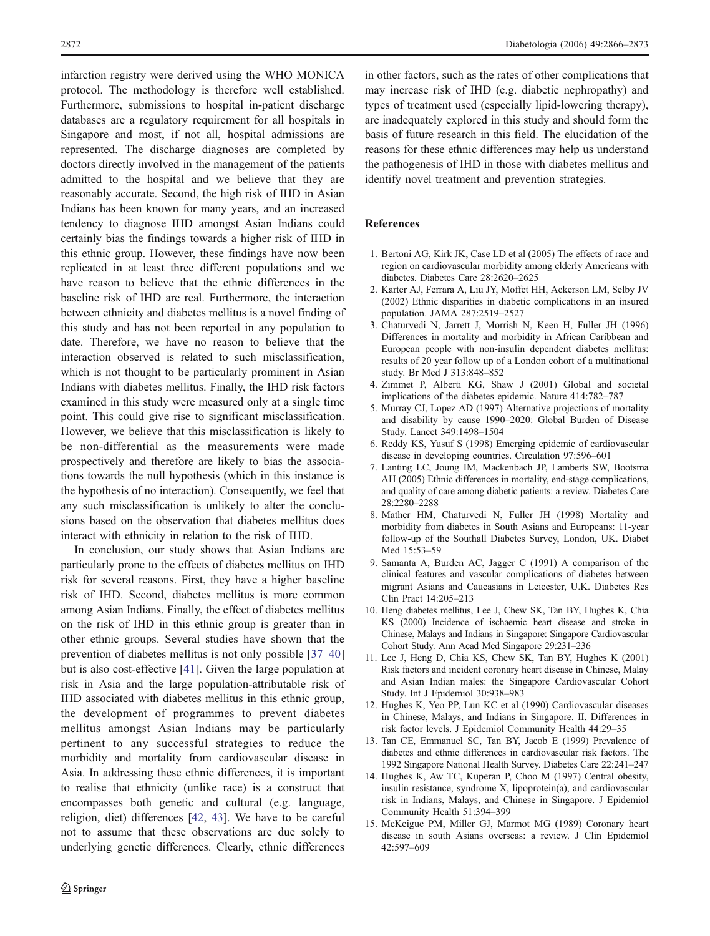<span id="page-6-0"></span>infarction registry were derived using the WHO MONICA protocol. The methodology is therefore well established. Furthermore, submissions to hospital in-patient discharge databases are a regulatory requirement for all hospitals in Singapore and most, if not all, hospital admissions are represented. The discharge diagnoses are completed by doctors directly involved in the management of the patients admitted to the hospital and we believe that they are reasonably accurate. Second, the high risk of IHD in Asian Indians has been known for many years, and an increased tendency to diagnose IHD amongst Asian Indians could certainly bias the findings towards a higher risk of IHD in this ethnic group. However, these findings have now been replicated in at least three different populations and we have reason to believe that the ethnic differences in the baseline risk of IHD are real. Furthermore, the interaction between ethnicity and diabetes mellitus is a novel finding of this study and has not been reported in any population to date. Therefore, we have no reason to believe that the interaction observed is related to such misclassification, which is not thought to be particularly prominent in Asian Indians with diabetes mellitus. Finally, the IHD risk factors examined in this study were measured only at a single time point. This could give rise to significant misclassification. However, we believe that this misclassification is likely to be non-differential as the measurements were made prospectively and therefore are likely to bias the associations towards the null hypothesis (which in this instance is the hypothesis of no interaction). Consequently, we feel that any such misclassification is unlikely to alter the conclusions based on the observation that diabetes mellitus does interact with ethnicity in relation to the risk of IHD.

In conclusion, our study shows that Asian Indians are particularly prone to the effects of diabetes mellitus on IHD risk for several reasons. First, they have a higher baseline risk of IHD. Second, diabetes mellitus is more common among Asian Indians. Finally, the effect of diabetes mellitus on the risk of IHD in this ethnic group is greater than in other ethnic groups. Several studies have shown that the prevention of diabetes mellitus is not only possible [[37](#page-7-0)–[40\]](#page-7-0) but is also cost-effective [\[41](#page-7-0)]. Given the large population at risk in Asia and the large population-attributable risk of IHD associated with diabetes mellitus in this ethnic group, the development of programmes to prevent diabetes mellitus amongst Asian Indians may be particularly pertinent to any successful strategies to reduce the morbidity and mortality from cardiovascular disease in Asia. In addressing these ethnic differences, it is important to realise that ethnicity (unlike race) is a construct that encompasses both genetic and cultural (e.g. language, religion, diet) differences [[42,](#page-7-0) [43](#page-7-0)]. We have to be careful not to assume that these observations are due solely to underlying genetic differences. Clearly, ethnic differences

in other factors, such as the rates of other complications that may increase risk of IHD (e.g. diabetic nephropathy) and types of treatment used (especially lipid-lowering therapy), are inadequately explored in this study and should form the basis of future research in this field. The elucidation of the reasons for these ethnic differences may help us understand the pathogenesis of IHD in those with diabetes mellitus and identify novel treatment and prevention strategies.

#### References

- 1. Bertoni AG, Kirk JK, Case LD et al (2005) The effects of race and region on cardiovascular morbidity among elderly Americans with diabetes. Diabetes Care 28:2620–2625
- 2. Karter AJ, Ferrara A, Liu JY, Moffet HH, Ackerson LM, Selby JV (2002) Ethnic disparities in diabetic complications in an insured population. JAMA 287:2519–2527
- 3. Chaturvedi N, Jarrett J, Morrish N, Keen H, Fuller JH (1996) Differences in mortality and morbidity in African Caribbean and European people with non-insulin dependent diabetes mellitus: results of 20 year follow up of a London cohort of a multinational study. Br Med J 313:848–852
- 4. Zimmet P, Alberti KG, Shaw J (2001) Global and societal implications of the diabetes epidemic. Nature 414:782–787
- 5. Murray CJ, Lopez AD (1997) Alternative projections of mortality and disability by cause 1990–2020: Global Burden of Disease Study. Lancet 349:1498–1504
- 6. Reddy KS, Yusuf S (1998) Emerging epidemic of cardiovascular disease in developing countries. Circulation 97:596–601
- 7. Lanting LC, Joung IM, Mackenbach JP, Lamberts SW, Bootsma AH (2005) Ethnic differences in mortality, end-stage complications, and quality of care among diabetic patients: a review. Diabetes Care 28:2280–2288
- 8. Mather HM, Chaturvedi N, Fuller JH (1998) Mortality and morbidity from diabetes in South Asians and Europeans: 11-year follow-up of the Southall Diabetes Survey, London, UK. Diabet Med 15:53–59
- 9. Samanta A, Burden AC, Jagger C (1991) A comparison of the clinical features and vascular complications of diabetes between migrant Asians and Caucasians in Leicester, U.K. Diabetes Res Clin Pract 14:205–213
- 10. Heng diabetes mellitus, Lee J, Chew SK, Tan BY, Hughes K, Chia KS (2000) Incidence of ischaemic heart disease and stroke in Chinese, Malays and Indians in Singapore: Singapore Cardiovascular Cohort Study. Ann Acad Med Singapore 29:231–236
- 11. Lee J, Heng D, Chia KS, Chew SK, Tan BY, Hughes K (2001) Risk factors and incident coronary heart disease in Chinese, Malay and Asian Indian males: the Singapore Cardiovascular Cohort Study. Int J Epidemiol 30:938–983
- 12. Hughes K, Yeo PP, Lun KC et al (1990) Cardiovascular diseases in Chinese, Malays, and Indians in Singapore. II. Differences in risk factor levels. J Epidemiol Community Health 44:29–35
- 13. Tan CE, Emmanuel SC, Tan BY, Jacob E (1999) Prevalence of diabetes and ethnic differences in cardiovascular risk factors. The 1992 Singapore National Health Survey. Diabetes Care 22:241–247
- 14. Hughes K, Aw TC, Kuperan P, Choo M (1997) Central obesity, insulin resistance, syndrome X, lipoprotein(a), and cardiovascular risk in Indians, Malays, and Chinese in Singapore. J Epidemiol Community Health 51:394–399
- 15. McKeigue PM, Miller GJ, Marmot MG (1989) Coronary heart disease in south Asians overseas: a review. J Clin Epidemiol 42:597–609